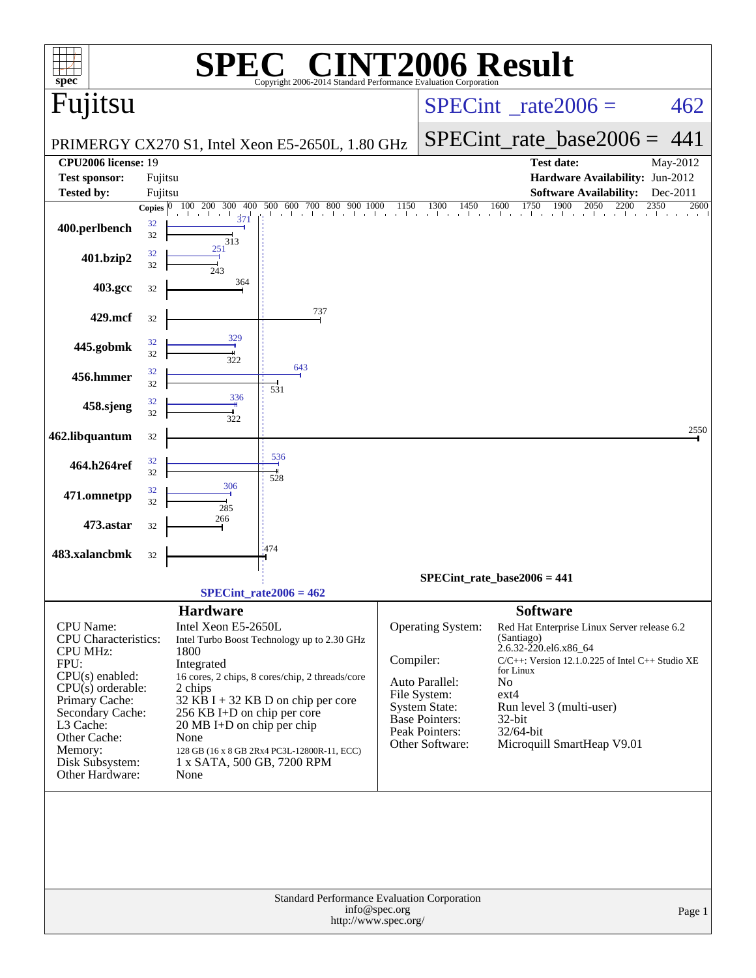| spec <sup>®</sup>                                                                                                                                                                                                                   |                         |                                                                                                                                                                 | $\mathbf{P}(\mathbb{R})$<br>Copyright 2006-2014 Standard Performance Evaluation Corporation                                                                                         |                           |                                                                                                                           | <b>72006 Result</b>                                                                                                                                                                                                                                                     |                          |
|-------------------------------------------------------------------------------------------------------------------------------------------------------------------------------------------------------------------------------------|-------------------------|-----------------------------------------------------------------------------------------------------------------------------------------------------------------|-------------------------------------------------------------------------------------------------------------------------------------------------------------------------------------|---------------------------|---------------------------------------------------------------------------------------------------------------------------|-------------------------------------------------------------------------------------------------------------------------------------------------------------------------------------------------------------------------------------------------------------------------|--------------------------|
| Fujitsu                                                                                                                                                                                                                             |                         |                                                                                                                                                                 |                                                                                                                                                                                     |                           |                                                                                                                           | $SPECint^{\circ}$ _rate2006 =                                                                                                                                                                                                                                           | 462                      |
|                                                                                                                                                                                                                                     |                         |                                                                                                                                                                 | PRIMERGY CX270 S1, Intel Xeon E5-2650L, 1.80 GHz                                                                                                                                    |                           |                                                                                                                           | $SPECint_rate\_base2006 =$                                                                                                                                                                                                                                              | 441                      |
| <b>CPU2006</b> license: 19                                                                                                                                                                                                          |                         |                                                                                                                                                                 |                                                                                                                                                                                     |                           |                                                                                                                           | <b>Test date:</b>                                                                                                                                                                                                                                                       | May-2012                 |
| <b>Test sponsor:</b>                                                                                                                                                                                                                | Fujitsu                 |                                                                                                                                                                 |                                                                                                                                                                                     |                           |                                                                                                                           | Hardware Availability: Jun-2012                                                                                                                                                                                                                                         |                          |
| <b>Tested by:</b>                                                                                                                                                                                                                   | Fujitsu<br>Copies $ 0 $ | 100 200<br>300<br>400                                                                                                                                           | 500 600 700 800<br>900 1000                                                                                                                                                         | 1150                      | 1450<br>1300                                                                                                              | <b>Software Availability:</b><br>1750<br>1600<br>1900<br>2050<br>2200                                                                                                                                                                                                   | Dec-2011<br>2350<br>2600 |
| 400.perlbench                                                                                                                                                                                                                       | 32<br>32                | 371<br>313                                                                                                                                                      |                                                                                                                                                                                     |                           |                                                                                                                           | and the state                                                                                                                                                                                                                                                           |                          |
| 401.bzip2                                                                                                                                                                                                                           | 32<br>32                | 251<br>243                                                                                                                                                      |                                                                                                                                                                                     |                           |                                                                                                                           |                                                                                                                                                                                                                                                                         |                          |
| 403.gcc                                                                                                                                                                                                                             | 32                      | 364                                                                                                                                                             |                                                                                                                                                                                     |                           |                                                                                                                           |                                                                                                                                                                                                                                                                         |                          |
| 429.mcf                                                                                                                                                                                                                             | 32                      |                                                                                                                                                                 | 737                                                                                                                                                                                 |                           |                                                                                                                           |                                                                                                                                                                                                                                                                         |                          |
| 445.gobmk                                                                                                                                                                                                                           | 32<br>32                | 329<br>322                                                                                                                                                      |                                                                                                                                                                                     |                           |                                                                                                                           |                                                                                                                                                                                                                                                                         |                          |
| 456.hmmer                                                                                                                                                                                                                           | 32<br>32                |                                                                                                                                                                 | 643<br>531                                                                                                                                                                          |                           |                                                                                                                           |                                                                                                                                                                                                                                                                         |                          |
| 458.sjeng                                                                                                                                                                                                                           | 32<br>32                | 336<br>322                                                                                                                                                      |                                                                                                                                                                                     |                           |                                                                                                                           |                                                                                                                                                                                                                                                                         |                          |
| 462.libquantum                                                                                                                                                                                                                      | 32                      |                                                                                                                                                                 |                                                                                                                                                                                     |                           |                                                                                                                           |                                                                                                                                                                                                                                                                         | 2550                     |
| 464.h264ref                                                                                                                                                                                                                         | 32<br>32                | 306                                                                                                                                                             | 536<br>528                                                                                                                                                                          |                           |                                                                                                                           |                                                                                                                                                                                                                                                                         |                          |
| 471.omnetpp                                                                                                                                                                                                                         | 32<br>32                | 285                                                                                                                                                             |                                                                                                                                                                                     |                           |                                                                                                                           |                                                                                                                                                                                                                                                                         |                          |
| 473.astar                                                                                                                                                                                                                           | 32                      | 266                                                                                                                                                             |                                                                                                                                                                                     |                           |                                                                                                                           |                                                                                                                                                                                                                                                                         |                          |
| 483.xalancbmk                                                                                                                                                                                                                       | 32                      |                                                                                                                                                                 | 1474                                                                                                                                                                                |                           |                                                                                                                           |                                                                                                                                                                                                                                                                         |                          |
|                                                                                                                                                                                                                                     |                         |                                                                                                                                                                 |                                                                                                                                                                                     |                           |                                                                                                                           | SPECint rate base $2006 = 441$                                                                                                                                                                                                                                          |                          |
|                                                                                                                                                                                                                                     |                         | <b>Hardware</b>                                                                                                                                                 | $SPECint_rate2006 = 462$                                                                                                                                                            |                           |                                                                                                                           | <b>Software</b>                                                                                                                                                                                                                                                         |                          |
| CPU Name:<br><b>CPU</b> Characteristics:<br><b>CPU MHz:</b><br>FPU:<br>$CPU(s)$ enabled:<br>$CPU(s)$ orderable:<br>Primary Cache:<br>Secondary Cache:<br>L3 Cache:<br>Other Cache:<br>Memory:<br>Disk Subsystem:<br>Other Hardware: |                         | Intel Xeon E5-2650L<br>1800<br>Integrated<br>2 chips<br>256 KB I+D on chip per core<br>20 MB I+D on chip per chip<br>None<br>1 x SATA, 500 GB, 7200 RPM<br>None | Intel Turbo Boost Technology up to 2.30 GHz<br>16 cores, 2 chips, 8 cores/chip, 2 threads/core<br>32 KB I + 32 KB D on chip per core<br>128 GB (16 x 8 GB 2Rx4 PC3L-12800R-11, ECC) | Compiler:<br>File System: | Operating System:<br>Auto Parallel:<br><b>System State:</b><br><b>Base Pointers:</b><br>Peak Pointers:<br>Other Software: | Red Hat Enterprise Linux Server release 6.2<br>(Santiago)<br>2.6.32-220.el6.x86_64<br>$C/C++$ : Version 12.1.0.225 of Intel $C++$ Studio XE<br>for Linux<br>N <sub>o</sub><br>$ext{4}$<br>Run level 3 (multi-user)<br>32-bit<br>32/64-bit<br>Microquill SmartHeap V9.01 |                          |
| Standard Performance Evaluation Corporation<br>info@spec.org<br>Page 1<br>http://www.spec.org/                                                                                                                                      |                         |                                                                                                                                                                 |                                                                                                                                                                                     |                           |                                                                                                                           |                                                                                                                                                                                                                                                                         |                          |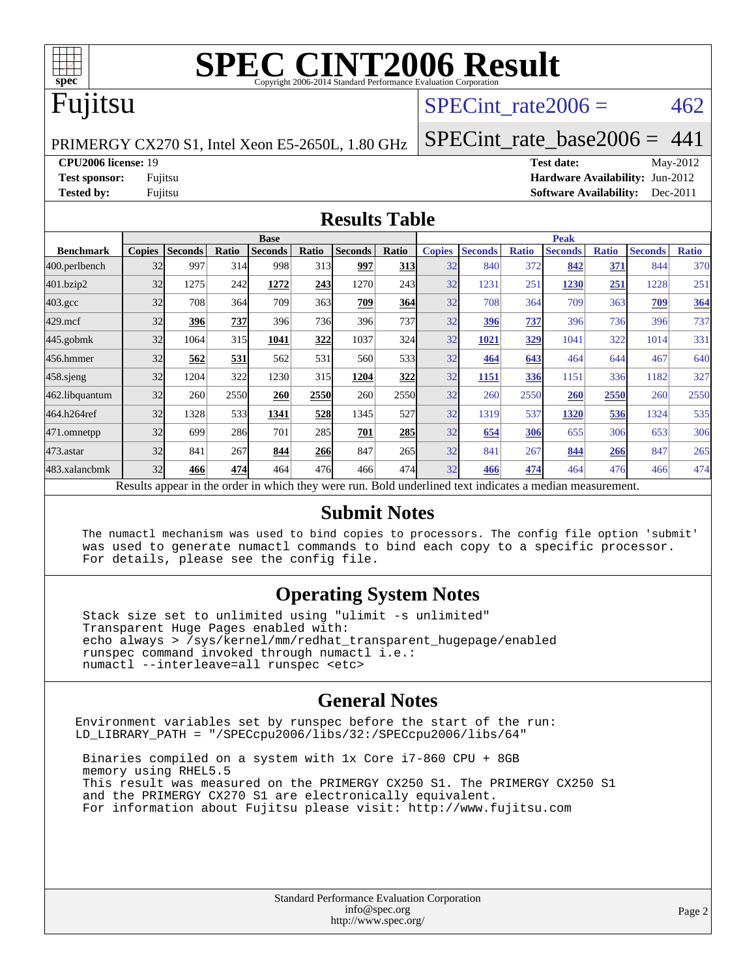

# **[SPEC CINT2006 Result](http://www.spec.org/auto/cpu2006/Docs/result-fields.html#SPECCINT2006Result)**

#### Fujitsu

#### SPECint rate  $2006 = 462$

PRIMERGY CX270 S1, Intel Xeon E5-2650L, 1.80 GHz

[SPECint\\_rate\\_base2006 =](http://www.spec.org/auto/cpu2006/Docs/result-fields.html#SPECintratebase2006) 441

**[CPU2006 license:](http://www.spec.org/auto/cpu2006/Docs/result-fields.html#CPU2006license)** 19 **[Test date:](http://www.spec.org/auto/cpu2006/Docs/result-fields.html#Testdate)** May-2012

**[Test sponsor:](http://www.spec.org/auto/cpu2006/Docs/result-fields.html#Testsponsor)** Fujitsu **[Hardware Availability:](http://www.spec.org/auto/cpu2006/Docs/result-fields.html#HardwareAvailability)** Jun-2012 **[Tested by:](http://www.spec.org/auto/cpu2006/Docs/result-fields.html#Testedby)** Fujitsu **Fugital Example 2011 [Software Availability:](http://www.spec.org/auto/cpu2006/Docs/result-fields.html#SoftwareAvailability)** Dec-2011

#### **[Results Table](http://www.spec.org/auto/cpu2006/Docs/result-fields.html#ResultsTable)**

|                                                                                                          | <b>Base</b>   |                |       |                |       |                |                  | <b>Peak</b>   |                |              |                |              |                |              |  |
|----------------------------------------------------------------------------------------------------------|---------------|----------------|-------|----------------|-------|----------------|------------------|---------------|----------------|--------------|----------------|--------------|----------------|--------------|--|
| <b>Benchmark</b>                                                                                         | <b>Copies</b> | <b>Seconds</b> | Ratio | <b>Seconds</b> | Ratio | <b>Seconds</b> | Ratio            | <b>Copies</b> | <b>Seconds</b> | <b>Ratio</b> | <b>Seconds</b> | <b>Ratio</b> | <b>Seconds</b> | <b>Ratio</b> |  |
| 400.perlbench                                                                                            | 32            | 997            | 314   | 998            | 313   | 997            | <b>313</b>       | 32            | 840            | 372          | 842            | 371          | 844            | 370          |  |
| 401.bzip2                                                                                                | 32            | 1275           | 242   | 1272           | 243   | 1270           | 243 <sup>I</sup> | 32            | 1231           | 251          | 1230           | 251          | 1228           | 251          |  |
| $403.\mathrm{gcc}$                                                                                       | 32            | 708            | 364   | 709            | 363   | 709            | 364              | 32            | 708            | 364          | 709            | 363          | 709            | 364          |  |
| $429$ .mcf                                                                                               | 32            | 396            | 737   | 396            | 736   | 396            | 737I             | 32            | 396            | 737          | 396            | 736          | 396            | 737          |  |
| $445$ .gobm $k$                                                                                          | 32            | 1064           | 315   | 1041           | 322   | 1037           | 324              | 32            | 1021           | 329          | 1041           | 322          | 1014           | 331          |  |
| 456.hmmer                                                                                                | 32            | 562            | 531   | 562            | 531   | 560            | 533 <sub>1</sub> | 32            | 464            | 643          | 464            | 644          | 467            | 640          |  |
| $458$ .sjeng                                                                                             | 32            | 1204           | 322   | 1230           | 315   | 1204           | 322              | 32            | 1151           | 336          | 1151           | 336          | 1182           | 327          |  |
| 462.libquantum                                                                                           | 32            | 260            | 2550  | 260            | 2550  | 260            | 2550             | 32            | 260            | 2550         | 260            | 2550         | 260            | 2550         |  |
| 464.h264ref                                                                                              | 32            | 1328           | 533   | 1341           | 528   | 1345           | 527l             | 32            | 1319           | 537          | 1320           | 536          | 1324           | 535          |  |
| 471.omnetpp                                                                                              | 32            | 699            | 286   | 701            | 285   | 701            | 285              | 32            | 654            | 306          | 655            | 306          | 653            | 306          |  |
| 473.astar                                                                                                | 32            | 841            | 267   | 844            | 266   | 847            | 265              | 32            | 841            | 267          | 844            | 266          | 847            | 265          |  |
| 483.xalancbmk                                                                                            | 32            | 466            | 474   | 464            | 476   | 466            | 474              | 32            | 466            | 474          | 464            | 476          | 466            | 474          |  |
| Results appear in the order in which they were run. Bold underlined text indicates a median measurement. |               |                |       |                |       |                |                  |               |                |              |                |              |                |              |  |

#### **[Submit Notes](http://www.spec.org/auto/cpu2006/Docs/result-fields.html#SubmitNotes)**

 The numactl mechanism was used to bind copies to processors. The config file option 'submit' was used to generate numactl commands to bind each copy to a specific processor. For details, please see the config file.

#### **[Operating System Notes](http://www.spec.org/auto/cpu2006/Docs/result-fields.html#OperatingSystemNotes)**

 Stack size set to unlimited using "ulimit -s unlimited" Transparent Huge Pages enabled with: echo always > /sys/kernel/mm/redhat\_transparent\_hugepage/enabled runspec command invoked through numactl i.e.: numactl --interleave=all runspec <etc>

#### **[General Notes](http://www.spec.org/auto/cpu2006/Docs/result-fields.html#GeneralNotes)**

Environment variables set by runspec before the start of the run: LD\_LIBRARY\_PATH = "/SPECcpu2006/libs/32:/SPECcpu2006/libs/64"

 Binaries compiled on a system with 1x Core i7-860 CPU + 8GB memory using RHEL5.5 This result was measured on the PRIMERGY CX250 S1. The PRIMERGY CX250 S1 and the PRIMERGY CX270 S1 are electronically equivalent. For information about Fujitsu please visit: <http://www.fujitsu.com>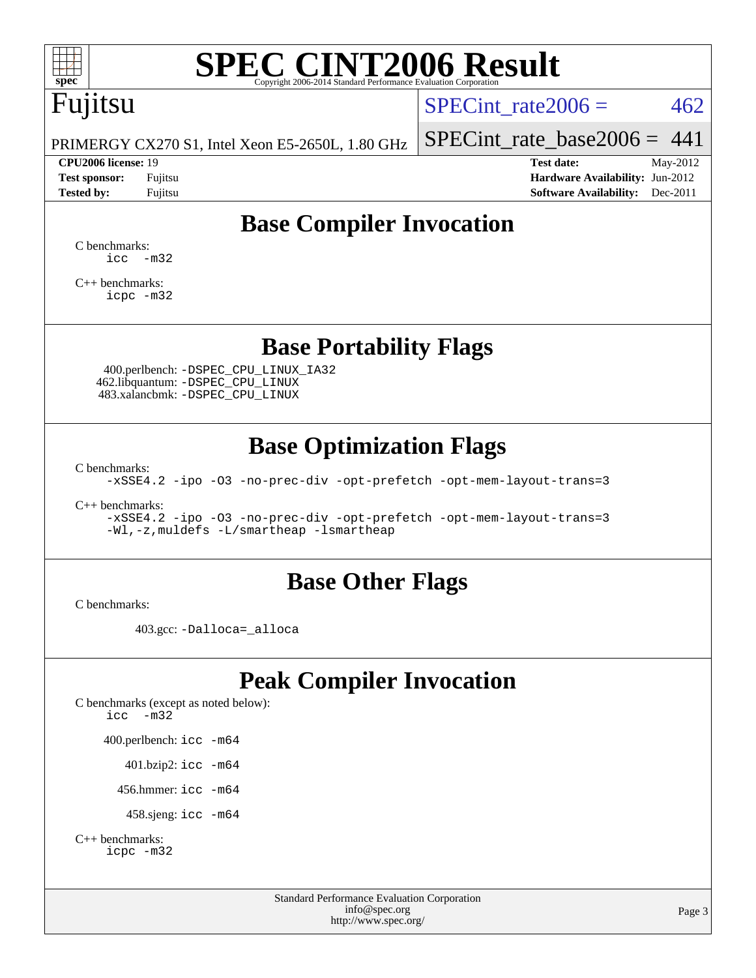

# **[SPEC CINT2006 Result](http://www.spec.org/auto/cpu2006/Docs/result-fields.html#SPECCINT2006Result)**

# Fujitsu

SPECint rate  $2006 = 462$ 

PRIMERGY CX270 S1, Intel Xeon E5-2650L, 1.80 GHz

#### **[CPU2006 license:](http://www.spec.org/auto/cpu2006/Docs/result-fields.html#CPU2006license)** 19 **[Test date:](http://www.spec.org/auto/cpu2006/Docs/result-fields.html#Testdate)** May-2012

[SPECint\\_rate\\_base2006 =](http://www.spec.org/auto/cpu2006/Docs/result-fields.html#SPECintratebase2006)  $441$ 

**[Test sponsor:](http://www.spec.org/auto/cpu2006/Docs/result-fields.html#Testsponsor)** Fujitsu **[Hardware Availability:](http://www.spec.org/auto/cpu2006/Docs/result-fields.html#HardwareAvailability)** Jun-2012 **[Tested by:](http://www.spec.org/auto/cpu2006/Docs/result-fields.html#Testedby)** Fujitsu **[Software Availability:](http://www.spec.org/auto/cpu2006/Docs/result-fields.html#SoftwareAvailability)** Dec-2011

#### **[Base Compiler Invocation](http://www.spec.org/auto/cpu2006/Docs/result-fields.html#BaseCompilerInvocation)**

[C benchmarks](http://www.spec.org/auto/cpu2006/Docs/result-fields.html#Cbenchmarks):  $\text{icc}$   $-\text{m32}$ 

[C++ benchmarks:](http://www.spec.org/auto/cpu2006/Docs/result-fields.html#CXXbenchmarks) [icpc -m32](http://www.spec.org/cpu2006/results/res2012q3/cpu2006-20120620-23096.flags.html#user_CXXbase_intel_icpc_4e5a5ef1a53fd332b3c49e69c3330699)

#### **[Base Portability Flags](http://www.spec.org/auto/cpu2006/Docs/result-fields.html#BasePortabilityFlags)**

 400.perlbench: [-DSPEC\\_CPU\\_LINUX\\_IA32](http://www.spec.org/cpu2006/results/res2012q3/cpu2006-20120620-23096.flags.html#b400.perlbench_baseCPORTABILITY_DSPEC_CPU_LINUX_IA32) 462.libquantum: [-DSPEC\\_CPU\\_LINUX](http://www.spec.org/cpu2006/results/res2012q3/cpu2006-20120620-23096.flags.html#b462.libquantum_baseCPORTABILITY_DSPEC_CPU_LINUX) 483.xalancbmk: [-DSPEC\\_CPU\\_LINUX](http://www.spec.org/cpu2006/results/res2012q3/cpu2006-20120620-23096.flags.html#b483.xalancbmk_baseCXXPORTABILITY_DSPEC_CPU_LINUX)

#### **[Base Optimization Flags](http://www.spec.org/auto/cpu2006/Docs/result-fields.html#BaseOptimizationFlags)**

[C benchmarks](http://www.spec.org/auto/cpu2006/Docs/result-fields.html#Cbenchmarks):

[-xSSE4.2](http://www.spec.org/cpu2006/results/res2012q3/cpu2006-20120620-23096.flags.html#user_CCbase_f-xSSE42_f91528193cf0b216347adb8b939d4107) [-ipo](http://www.spec.org/cpu2006/results/res2012q3/cpu2006-20120620-23096.flags.html#user_CCbase_f-ipo) [-O3](http://www.spec.org/cpu2006/results/res2012q3/cpu2006-20120620-23096.flags.html#user_CCbase_f-O3) [-no-prec-div](http://www.spec.org/cpu2006/results/res2012q3/cpu2006-20120620-23096.flags.html#user_CCbase_f-no-prec-div) [-opt-prefetch](http://www.spec.org/cpu2006/results/res2012q3/cpu2006-20120620-23096.flags.html#user_CCbase_f-opt-prefetch) [-opt-mem-layout-trans=3](http://www.spec.org/cpu2006/results/res2012q3/cpu2006-20120620-23096.flags.html#user_CCbase_f-opt-mem-layout-trans_a7b82ad4bd7abf52556d4961a2ae94d5)

[C++ benchmarks:](http://www.spec.org/auto/cpu2006/Docs/result-fields.html#CXXbenchmarks)

[-xSSE4.2](http://www.spec.org/cpu2006/results/res2012q3/cpu2006-20120620-23096.flags.html#user_CXXbase_f-xSSE42_f91528193cf0b216347adb8b939d4107) [-ipo](http://www.spec.org/cpu2006/results/res2012q3/cpu2006-20120620-23096.flags.html#user_CXXbase_f-ipo) [-O3](http://www.spec.org/cpu2006/results/res2012q3/cpu2006-20120620-23096.flags.html#user_CXXbase_f-O3) [-no-prec-div](http://www.spec.org/cpu2006/results/res2012q3/cpu2006-20120620-23096.flags.html#user_CXXbase_f-no-prec-div) [-opt-prefetch](http://www.spec.org/cpu2006/results/res2012q3/cpu2006-20120620-23096.flags.html#user_CXXbase_f-opt-prefetch) [-opt-mem-layout-trans=3](http://www.spec.org/cpu2006/results/res2012q3/cpu2006-20120620-23096.flags.html#user_CXXbase_f-opt-mem-layout-trans_a7b82ad4bd7abf52556d4961a2ae94d5) [-Wl,-z,muldefs](http://www.spec.org/cpu2006/results/res2012q3/cpu2006-20120620-23096.flags.html#user_CXXbase_link_force_multiple1_74079c344b956b9658436fd1b6dd3a8a) [-L/smartheap -lsmartheap](http://www.spec.org/cpu2006/results/res2012q3/cpu2006-20120620-23096.flags.html#user_CXXbase_SmartHeap_7c9e394a5779e1a7fec7c221e123830c)

#### **[Base Other Flags](http://www.spec.org/auto/cpu2006/Docs/result-fields.html#BaseOtherFlags)**

[C benchmarks](http://www.spec.org/auto/cpu2006/Docs/result-fields.html#Cbenchmarks):

403.gcc: [-Dalloca=\\_alloca](http://www.spec.org/cpu2006/results/res2012q3/cpu2006-20120620-23096.flags.html#b403.gcc_baseEXTRA_CFLAGS_Dalloca_be3056838c12de2578596ca5467af7f3)

#### **[Peak Compiler Invocation](http://www.spec.org/auto/cpu2006/Docs/result-fields.html#PeakCompilerInvocation)**

[C benchmarks \(except as noted below\)](http://www.spec.org/auto/cpu2006/Docs/result-fields.html#Cbenchmarksexceptasnotedbelow): [icc -m32](http://www.spec.org/cpu2006/results/res2012q3/cpu2006-20120620-23096.flags.html#user_CCpeak_intel_icc_5ff4a39e364c98233615fdd38438c6f2) 400.perlbench: [icc -m64](http://www.spec.org/cpu2006/results/res2012q3/cpu2006-20120620-23096.flags.html#user_peakCCLD400_perlbench_intel_icc_64bit_bda6cc9af1fdbb0edc3795bac97ada53) 401.bzip2: [icc -m64](http://www.spec.org/cpu2006/results/res2012q3/cpu2006-20120620-23096.flags.html#user_peakCCLD401_bzip2_intel_icc_64bit_bda6cc9af1fdbb0edc3795bac97ada53)

456.hmmer: [icc -m64](http://www.spec.org/cpu2006/results/res2012q3/cpu2006-20120620-23096.flags.html#user_peakCCLD456_hmmer_intel_icc_64bit_bda6cc9af1fdbb0edc3795bac97ada53)

458.sjeng: [icc -m64](http://www.spec.org/cpu2006/results/res2012q3/cpu2006-20120620-23096.flags.html#user_peakCCLD458_sjeng_intel_icc_64bit_bda6cc9af1fdbb0edc3795bac97ada53)

```
C++ benchmarks: 
icpc -m32
```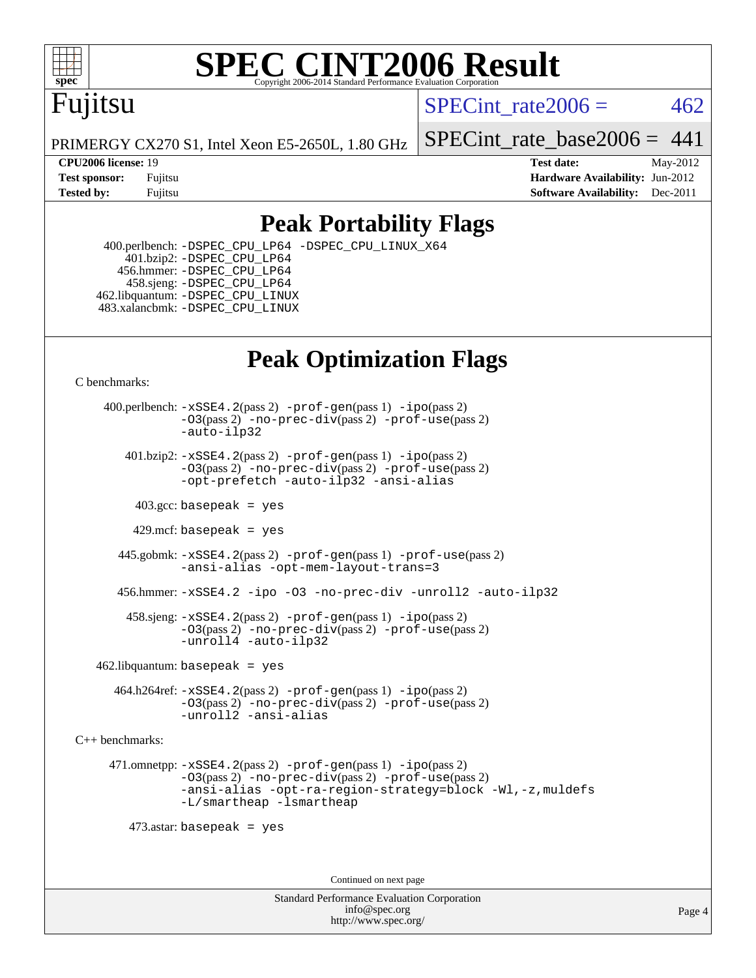

#### **[SPEC CINT2006 Result](http://www.spec.org/auto/cpu2006/Docs/result-fields.html#SPECCINT2006Result)** Copyright 2006-2014 Standard Performance Evaluation C

# Fujitsu

SPECint rate $2006 = 462$ 

PRIMERGY CX270 S1, Intel Xeon E5-2650L, 1.80 GHz

SPECint rate base2006 =  $441$ 

**[CPU2006 license:](http://www.spec.org/auto/cpu2006/Docs/result-fields.html#CPU2006license)** 19 **[Test date:](http://www.spec.org/auto/cpu2006/Docs/result-fields.html#Testdate)** May-2012 **[Test sponsor:](http://www.spec.org/auto/cpu2006/Docs/result-fields.html#Testsponsor)** Fujitsu **[Hardware Availability:](http://www.spec.org/auto/cpu2006/Docs/result-fields.html#HardwareAvailability)** Jun-2012 **[Tested by:](http://www.spec.org/auto/cpu2006/Docs/result-fields.html#Testedby)** Fujitsu **Fugital Example 2011 [Software Availability:](http://www.spec.org/auto/cpu2006/Docs/result-fields.html#SoftwareAvailability)** Dec-2011

#### **[Peak Portability Flags](http://www.spec.org/auto/cpu2006/Docs/result-fields.html#PeakPortabilityFlags)**

 400.perlbench: [-DSPEC\\_CPU\\_LP64](http://www.spec.org/cpu2006/results/res2012q3/cpu2006-20120620-23096.flags.html#b400.perlbench_peakCPORTABILITY_DSPEC_CPU_LP64) [-DSPEC\\_CPU\\_LINUX\\_X64](http://www.spec.org/cpu2006/results/res2012q3/cpu2006-20120620-23096.flags.html#b400.perlbench_peakCPORTABILITY_DSPEC_CPU_LINUX_X64) 401.bzip2: [-DSPEC\\_CPU\\_LP64](http://www.spec.org/cpu2006/results/res2012q3/cpu2006-20120620-23096.flags.html#suite_peakCPORTABILITY401_bzip2_DSPEC_CPU_LP64) 456.hmmer: [-DSPEC\\_CPU\\_LP64](http://www.spec.org/cpu2006/results/res2012q3/cpu2006-20120620-23096.flags.html#suite_peakCPORTABILITY456_hmmer_DSPEC_CPU_LP64) 458.sjeng: [-DSPEC\\_CPU\\_LP64](http://www.spec.org/cpu2006/results/res2012q3/cpu2006-20120620-23096.flags.html#suite_peakCPORTABILITY458_sjeng_DSPEC_CPU_LP64) 462.libquantum: [-DSPEC\\_CPU\\_LINUX](http://www.spec.org/cpu2006/results/res2012q3/cpu2006-20120620-23096.flags.html#b462.libquantum_peakCPORTABILITY_DSPEC_CPU_LINUX) 483.xalancbmk: [-DSPEC\\_CPU\\_LINUX](http://www.spec.org/cpu2006/results/res2012q3/cpu2006-20120620-23096.flags.html#b483.xalancbmk_peakCXXPORTABILITY_DSPEC_CPU_LINUX)

### **[Peak Optimization Flags](http://www.spec.org/auto/cpu2006/Docs/result-fields.html#PeakOptimizationFlags)**

[C benchmarks](http://www.spec.org/auto/cpu2006/Docs/result-fields.html#Cbenchmarks):

 400.perlbench: [-xSSE4.2](http://www.spec.org/cpu2006/results/res2012q3/cpu2006-20120620-23096.flags.html#user_peakPASS2_CFLAGSPASS2_LDCFLAGS400_perlbench_f-xSSE42_f91528193cf0b216347adb8b939d4107)(pass 2) [-prof-gen](http://www.spec.org/cpu2006/results/res2012q3/cpu2006-20120620-23096.flags.html#user_peakPASS1_CFLAGSPASS1_LDCFLAGS400_perlbench_prof_gen_e43856698f6ca7b7e442dfd80e94a8fc)(pass 1) [-ipo](http://www.spec.org/cpu2006/results/res2012q3/cpu2006-20120620-23096.flags.html#user_peakPASS2_CFLAGSPASS2_LDCFLAGS400_perlbench_f-ipo)(pass 2) [-O3](http://www.spec.org/cpu2006/results/res2012q3/cpu2006-20120620-23096.flags.html#user_peakPASS2_CFLAGSPASS2_LDCFLAGS400_perlbench_f-O3)(pass 2) [-no-prec-div](http://www.spec.org/cpu2006/results/res2012q3/cpu2006-20120620-23096.flags.html#user_peakPASS2_CFLAGSPASS2_LDCFLAGS400_perlbench_f-no-prec-div)(pass 2) [-prof-use](http://www.spec.org/cpu2006/results/res2012q3/cpu2006-20120620-23096.flags.html#user_peakPASS2_CFLAGSPASS2_LDCFLAGS400_perlbench_prof_use_bccf7792157ff70d64e32fe3e1250b55)(pass 2) [-auto-ilp32](http://www.spec.org/cpu2006/results/res2012q3/cpu2006-20120620-23096.flags.html#user_peakCOPTIMIZE400_perlbench_f-auto-ilp32)  $401.bzip2: -xSSE4.2(pass 2) -prof-qen(pass 1) -ipo(pass 2)$  $401.bzip2: -xSSE4.2(pass 2) -prof-qen(pass 1) -ipo(pass 2)$  $401.bzip2: -xSSE4.2(pass 2) -prof-qen(pass 1) -ipo(pass 2)$  $401.bzip2: -xSSE4.2(pass 2) -prof-qen(pass 1) -ipo(pass 2)$  $401.bzip2: -xSSE4.2(pass 2) -prof-qen(pass 1) -ipo(pass 2)$ [-O3](http://www.spec.org/cpu2006/results/res2012q3/cpu2006-20120620-23096.flags.html#user_peakPASS2_CFLAGSPASS2_LDCFLAGS401_bzip2_f-O3)(pass 2) [-no-prec-div](http://www.spec.org/cpu2006/results/res2012q3/cpu2006-20120620-23096.flags.html#user_peakPASS2_CFLAGSPASS2_LDCFLAGS401_bzip2_f-no-prec-div)(pass 2) [-prof-use](http://www.spec.org/cpu2006/results/res2012q3/cpu2006-20120620-23096.flags.html#user_peakPASS2_CFLAGSPASS2_LDCFLAGS401_bzip2_prof_use_bccf7792157ff70d64e32fe3e1250b55)(pass 2) [-opt-prefetch](http://www.spec.org/cpu2006/results/res2012q3/cpu2006-20120620-23096.flags.html#user_peakCOPTIMIZE401_bzip2_f-opt-prefetch) [-auto-ilp32](http://www.spec.org/cpu2006/results/res2012q3/cpu2006-20120620-23096.flags.html#user_peakCOPTIMIZE401_bzip2_f-auto-ilp32) [-ansi-alias](http://www.spec.org/cpu2006/results/res2012q3/cpu2006-20120620-23096.flags.html#user_peakCOPTIMIZE401_bzip2_f-ansi-alias)  $403.\text{sec: basepeak}$  = yes 429.mcf: basepeak = yes 445.gobmk: [-xSSE4.2](http://www.spec.org/cpu2006/results/res2012q3/cpu2006-20120620-23096.flags.html#user_peakPASS2_CFLAGSPASS2_LDCFLAGS445_gobmk_f-xSSE42_f91528193cf0b216347adb8b939d4107)(pass 2) [-prof-gen](http://www.spec.org/cpu2006/results/res2012q3/cpu2006-20120620-23096.flags.html#user_peakPASS1_CFLAGSPASS1_LDCFLAGS445_gobmk_prof_gen_e43856698f6ca7b7e442dfd80e94a8fc)(pass 1) [-prof-use](http://www.spec.org/cpu2006/results/res2012q3/cpu2006-20120620-23096.flags.html#user_peakPASS2_CFLAGSPASS2_LDCFLAGS445_gobmk_prof_use_bccf7792157ff70d64e32fe3e1250b55)(pass 2) [-ansi-alias](http://www.spec.org/cpu2006/results/res2012q3/cpu2006-20120620-23096.flags.html#user_peakCOPTIMIZE445_gobmk_f-ansi-alias) [-opt-mem-layout-trans=3](http://www.spec.org/cpu2006/results/res2012q3/cpu2006-20120620-23096.flags.html#user_peakCOPTIMIZE445_gobmk_f-opt-mem-layout-trans_a7b82ad4bd7abf52556d4961a2ae94d5) 456.hmmer: [-xSSE4.2](http://www.spec.org/cpu2006/results/res2012q3/cpu2006-20120620-23096.flags.html#user_peakCOPTIMIZE456_hmmer_f-xSSE42_f91528193cf0b216347adb8b939d4107) [-ipo](http://www.spec.org/cpu2006/results/res2012q3/cpu2006-20120620-23096.flags.html#user_peakCOPTIMIZE456_hmmer_f-ipo) [-O3](http://www.spec.org/cpu2006/results/res2012q3/cpu2006-20120620-23096.flags.html#user_peakCOPTIMIZE456_hmmer_f-O3) [-no-prec-div](http://www.spec.org/cpu2006/results/res2012q3/cpu2006-20120620-23096.flags.html#user_peakCOPTIMIZE456_hmmer_f-no-prec-div) [-unroll2](http://www.spec.org/cpu2006/results/res2012q3/cpu2006-20120620-23096.flags.html#user_peakCOPTIMIZE456_hmmer_f-unroll_784dae83bebfb236979b41d2422d7ec2) [-auto-ilp32](http://www.spec.org/cpu2006/results/res2012q3/cpu2006-20120620-23096.flags.html#user_peakCOPTIMIZE456_hmmer_f-auto-ilp32) 458.sjeng: [-xSSE4.2](http://www.spec.org/cpu2006/results/res2012q3/cpu2006-20120620-23096.flags.html#user_peakPASS2_CFLAGSPASS2_LDCFLAGS458_sjeng_f-xSSE42_f91528193cf0b216347adb8b939d4107)(pass 2) [-prof-gen](http://www.spec.org/cpu2006/results/res2012q3/cpu2006-20120620-23096.flags.html#user_peakPASS1_CFLAGSPASS1_LDCFLAGS458_sjeng_prof_gen_e43856698f6ca7b7e442dfd80e94a8fc)(pass 1) [-ipo](http://www.spec.org/cpu2006/results/res2012q3/cpu2006-20120620-23096.flags.html#user_peakPASS2_CFLAGSPASS2_LDCFLAGS458_sjeng_f-ipo)(pass 2) [-O3](http://www.spec.org/cpu2006/results/res2012q3/cpu2006-20120620-23096.flags.html#user_peakPASS2_CFLAGSPASS2_LDCFLAGS458_sjeng_f-O3)(pass 2) [-no-prec-div](http://www.spec.org/cpu2006/results/res2012q3/cpu2006-20120620-23096.flags.html#user_peakPASS2_CFLAGSPASS2_LDCFLAGS458_sjeng_f-no-prec-div)(pass 2) [-prof-use](http://www.spec.org/cpu2006/results/res2012q3/cpu2006-20120620-23096.flags.html#user_peakPASS2_CFLAGSPASS2_LDCFLAGS458_sjeng_prof_use_bccf7792157ff70d64e32fe3e1250b55)(pass 2) [-unroll4](http://www.spec.org/cpu2006/results/res2012q3/cpu2006-20120620-23096.flags.html#user_peakCOPTIMIZE458_sjeng_f-unroll_4e5e4ed65b7fd20bdcd365bec371b81f) [-auto-ilp32](http://www.spec.org/cpu2006/results/res2012q3/cpu2006-20120620-23096.flags.html#user_peakCOPTIMIZE458_sjeng_f-auto-ilp32)  $462$ .libquantum: basepeak = yes

 464.h264ref: [-xSSE4.2](http://www.spec.org/cpu2006/results/res2012q3/cpu2006-20120620-23096.flags.html#user_peakPASS2_CFLAGSPASS2_LDCFLAGS464_h264ref_f-xSSE42_f91528193cf0b216347adb8b939d4107)(pass 2) [-prof-gen](http://www.spec.org/cpu2006/results/res2012q3/cpu2006-20120620-23096.flags.html#user_peakPASS1_CFLAGSPASS1_LDCFLAGS464_h264ref_prof_gen_e43856698f6ca7b7e442dfd80e94a8fc)(pass 1) [-ipo](http://www.spec.org/cpu2006/results/res2012q3/cpu2006-20120620-23096.flags.html#user_peakPASS2_CFLAGSPASS2_LDCFLAGS464_h264ref_f-ipo)(pass 2) [-O3](http://www.spec.org/cpu2006/results/res2012q3/cpu2006-20120620-23096.flags.html#user_peakPASS2_CFLAGSPASS2_LDCFLAGS464_h264ref_f-O3)(pass 2) [-no-prec-div](http://www.spec.org/cpu2006/results/res2012q3/cpu2006-20120620-23096.flags.html#user_peakPASS2_CFLAGSPASS2_LDCFLAGS464_h264ref_f-no-prec-div)(pass 2) [-prof-use](http://www.spec.org/cpu2006/results/res2012q3/cpu2006-20120620-23096.flags.html#user_peakPASS2_CFLAGSPASS2_LDCFLAGS464_h264ref_prof_use_bccf7792157ff70d64e32fe3e1250b55)(pass 2) [-unroll2](http://www.spec.org/cpu2006/results/res2012q3/cpu2006-20120620-23096.flags.html#user_peakCOPTIMIZE464_h264ref_f-unroll_784dae83bebfb236979b41d2422d7ec2) [-ansi-alias](http://www.spec.org/cpu2006/results/res2012q3/cpu2006-20120620-23096.flags.html#user_peakCOPTIMIZE464_h264ref_f-ansi-alias)

[C++ benchmarks:](http://www.spec.org/auto/cpu2006/Docs/result-fields.html#CXXbenchmarks)

 471.omnetpp: [-xSSE4.2](http://www.spec.org/cpu2006/results/res2012q3/cpu2006-20120620-23096.flags.html#user_peakPASS2_CXXFLAGSPASS2_LDCXXFLAGS471_omnetpp_f-xSSE42_f91528193cf0b216347adb8b939d4107)(pass 2) [-prof-gen](http://www.spec.org/cpu2006/results/res2012q3/cpu2006-20120620-23096.flags.html#user_peakPASS1_CXXFLAGSPASS1_LDCXXFLAGS471_omnetpp_prof_gen_e43856698f6ca7b7e442dfd80e94a8fc)(pass 1) [-ipo](http://www.spec.org/cpu2006/results/res2012q3/cpu2006-20120620-23096.flags.html#user_peakPASS2_CXXFLAGSPASS2_LDCXXFLAGS471_omnetpp_f-ipo)(pass 2) [-O3](http://www.spec.org/cpu2006/results/res2012q3/cpu2006-20120620-23096.flags.html#user_peakPASS2_CXXFLAGSPASS2_LDCXXFLAGS471_omnetpp_f-O3)(pass 2) [-no-prec-div](http://www.spec.org/cpu2006/results/res2012q3/cpu2006-20120620-23096.flags.html#user_peakPASS2_CXXFLAGSPASS2_LDCXXFLAGS471_omnetpp_f-no-prec-div)(pass 2) [-prof-use](http://www.spec.org/cpu2006/results/res2012q3/cpu2006-20120620-23096.flags.html#user_peakPASS2_CXXFLAGSPASS2_LDCXXFLAGS471_omnetpp_prof_use_bccf7792157ff70d64e32fe3e1250b55)(pass 2) [-ansi-alias](http://www.spec.org/cpu2006/results/res2012q3/cpu2006-20120620-23096.flags.html#user_peakCXXOPTIMIZE471_omnetpp_f-ansi-alias) [-opt-ra-region-strategy=block](http://www.spec.org/cpu2006/results/res2012q3/cpu2006-20120620-23096.flags.html#user_peakCXXOPTIMIZE471_omnetpp_f-opt-ra-region-strategy_a0a37c372d03933b2a18d4af463c1f69) [-Wl,-z,muldefs](http://www.spec.org/cpu2006/results/res2012q3/cpu2006-20120620-23096.flags.html#user_peakEXTRA_LDFLAGS471_omnetpp_link_force_multiple1_74079c344b956b9658436fd1b6dd3a8a) [-L/smartheap -lsmartheap](http://www.spec.org/cpu2006/results/res2012q3/cpu2006-20120620-23096.flags.html#user_peakEXTRA_LIBS471_omnetpp_SmartHeap_7c9e394a5779e1a7fec7c221e123830c)

473.astar: basepeak = yes

Continued on next page

Standard Performance Evaluation Corporation [info@spec.org](mailto:info@spec.org) <http://www.spec.org/>